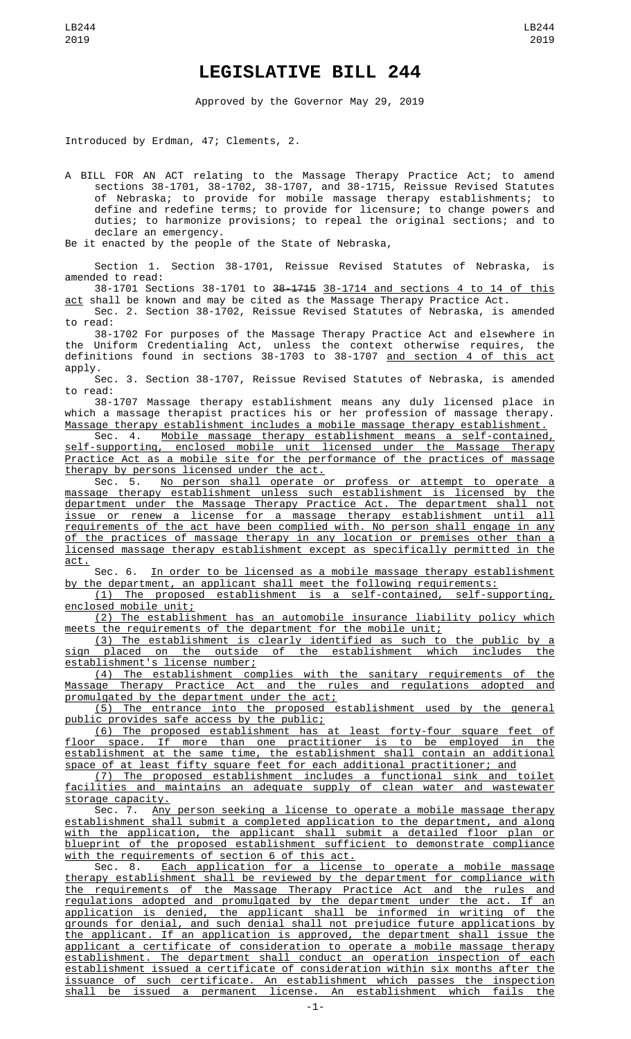## **LEGISLATIVE BILL 244**

Approved by the Governor May 29, 2019

Introduced by Erdman, 47; Clements, 2.

A BILL FOR AN ACT relating to the Massage Therapy Practice Act; to amend sections 38-1701, 38-1702, 38-1707, and 38-1715, Reissue Revised Statutes of Nebraska; to provide for mobile massage therapy establishments; to define and redefine terms; to provide for licensure; to change powers and duties; to harmonize provisions; to repeal the original sections; and to declare an emergency.

Be it enacted by the people of the State of Nebraska,

Section 1. Section 38-1701, Reissue Revised Statutes of Nebraska, is amended to read:

38-1701 Sections 38-1701 to 38-1715 38-1714 and sections 4 to 14 of this <u>act</u> shall be known and may be cited as the Massage Therapy Practice Act. Sec. 2. Section 38-1702, Reissue Revised Statutes of Nebraska, is amended

to read: 38-1702 For purposes of the Massage Therapy Practice Act and elsewhere in

the Uniform Credentialing Act, unless the context otherwise requires, the definitions found in sections 38-1703 to 38-1707 and section 4 of this act apply.

Sec. 3. Section 38-1707, Reissue Revised Statutes of Nebraska, is amended to read:

38-1707 Massage therapy establishment means any duly licensed place in which a massage therapist practices his or her profession of massage therapy. Massage therapy establishment includes a mobile massage therapy establishment.

Sec. 4. Mobile massage therapy establishment means a self-contained, self-supporting, enclosed mobile unit licensed under the Massage Therapy Practice Act as a mobile site for the performance of the practices of massage therapy by persons licensed under the act.

Sec. 5. No person shall operate or profess or attempt to operate a massage therapy establishment unless such establishment is licensed by the department under the Massage Therapy Practice Act. The department shall not issue or renew a license for a massage therapy establishment until all requirements of the act have been complied with. No person shall engage in any of the practices of massage therapy in any location or premises other than a licensed massage therapy establishment except as specifically permitted in the act.

Sec. 6. In order to be licensed as a mobile massage therapy establishment by the department, an applicant shall meet the following requirements:

(1) The proposed establishment is a self-contained, self-supporting, enclosed mobile unit;

(2) The establishment has an automobile insurance liability policy which meets the requirements of the department for the mobile unit;

(3) The establishment is clearly identified as such to the public by a sign placed on the outside of the establishment which includes the establishment's license number;

(4) The establishment complies with the sanitary requirements of the Massage Therapy Practice Act and the rules and regulations adopted and promulgated by the department under the act;

(5) The entrance into the proposed establishment used by the general ic provides safe access by the public;

(6) The proposed establishment has at least forty-four square feet of floor space. If more than one practitioner is to be employed in the establishment at the same time, the establishment shall contain an additional space of at least fifty square feet for each additional practitioner; and

(7) The proposed establishment includes a functional sink and toilet facilities and maintains an adequate supply of clean water and wastewater storage capacity.

Sec. 7. <u>Any person seeking a license to operate a mobile massage therapy</u> establishment shall submit a completed application to the department, and along with the application, the applicant shall submit a detailed floor plan or blueprint of the proposed establishment sufficient to demonstrate compliance with the requirements of section 6 of this act.

Sec. 8. <u>Each application for a license to operate a mobile massage</u> therapy establishment shall be reviewed by the department for compliance with the requirements of the Massage Therapy Practice Act and the rules and regulations adopted and promulgated by the department under the act. If an application is denied, the applicant shall be informed in writing of the grounds for denial, and such denial shall not prejudice future applications by the applicant. If an application is approved, the department shall issue the applicant a certificate of consideration to operate a mobile massage therapy establishment. The department shall conduct an operation inspection of each establishment issued a certificate of consideration within six months after the issuance of such certificate. An establishment which passes the inspection shall be issued a permanent license. An establishment which fails the